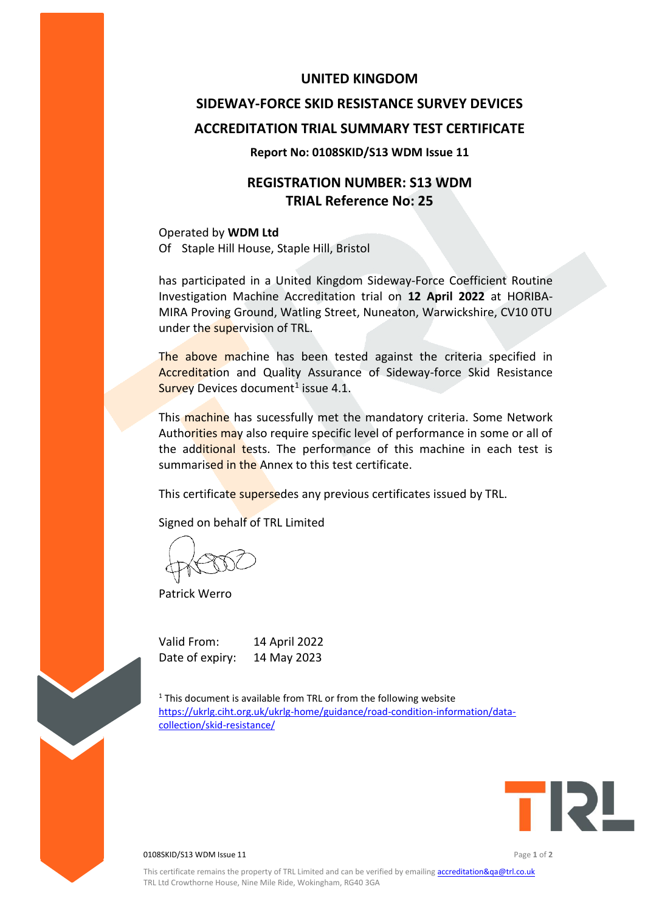### **UNITED KINGDOM**

# **SIDEWAY-FORCE SKID RESISTANCE SURVEY DEVICES ACCREDITATION TRIAL SUMMARY TEST CERTIFICATE**

#### **Report No: 0108SKID/S13 WDM Issue 11**

## **REGISTRATION NUMBER: S13 WDM TRIAL Reference No: 25**

Operated by **WDM Ltd** Of Staple Hill House, Staple Hill, Bristol

has participated in a United Kingdom Sideway-Force Coefficient Routine Investigation Machine Accreditation trial on **12 April 2022** at HORIBA-MIRA Proving Ground, Watling Street, Nuneaton, Warwickshire, CV10 0TU under the supervision of TRL.

The above machine has been tested against the criteria specified in Accreditation and Quality Assurance of Sideway-force Skid Resistance Survey Devices document<sup>1</sup> issue 4.1.

This machine has sucessfully met the mandatory criteria. Some Network Authorities may also require specific level of performance in some or all of the additional tests. The performance of this machine in each test is summarised in the Annex to this test certificate.

This certificate supersedes any previous certificates issued by TRL.

Signed on behalf of TRL Limited

Patrick Werro

Valid From: 14 April 2022 Date of expiry: 14 May 2023

 $1$ <sup>1</sup> This document is available from TRL or from the following website [https://ukrlg.ciht.org.uk/ukrlg-home/guidance/road-condition-information/data](https://ukrlg.ciht.org.uk/ukrlg-home/guidance/road-condition-information/data-collection/skid-resistance/)[collection/skid-resistance/](https://ukrlg.ciht.org.uk/ukrlg-home/guidance/road-condition-information/data-collection/skid-resistance/)



0108SKID/S13 WDM Issue 11 Page **1** of **2**